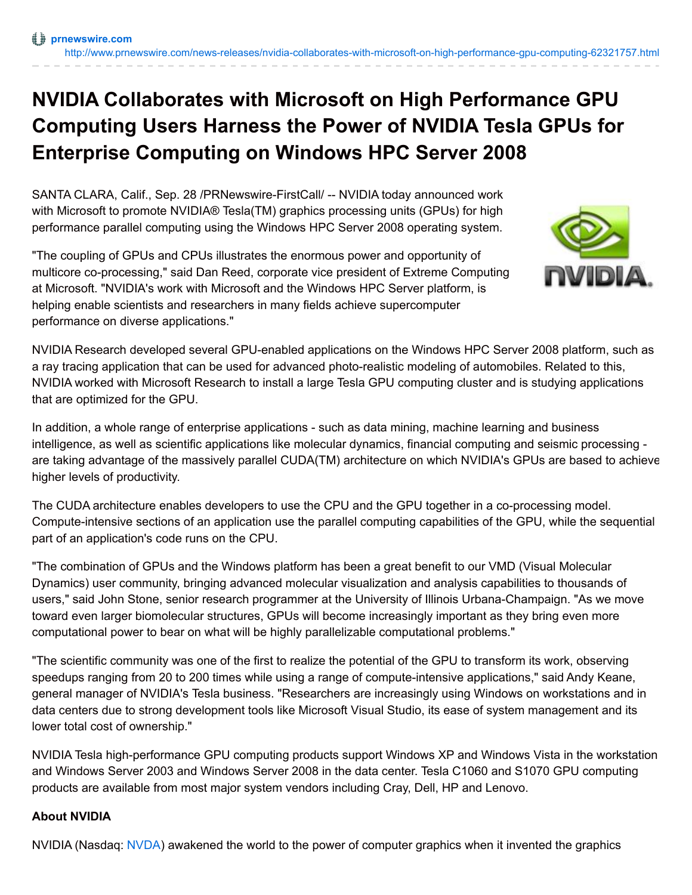## **NVIDIA Collaborates with Microsoft on High Performance GPU Computing Users Harness the Power of NVIDIA Tesla GPUs for Enterprise Computing on Windows HPC Server 2008**

SANTA CLARA, Calif., Sep. 28 /PRNewswire-FirstCall/ -- NVIDIA today announced work with Microsoft to promote NVIDIA® Tesla(TM) graphics processing units (GPUs) for high performance parallel computing using the Windows HPC Server 2008 operating system.

"The coupling of GPUs and CPUs illustrates the enormous power and opportunity of multicore co-processing," said Dan Reed, corporate vice president of Extreme Computing at Microsoft. "NVIDIA's work with Microsoft and the Windows HPC Server platform, is helping enable scientists and researchers in many fields achieve supercomputer performance on diverse applications."



NVIDIA Research developed several GPU-enabled applications on the Windows HPC Server 2008 platform, such as a ray tracing application that can be used for advanced photo-realistic modeling of automobiles. Related to this, NVIDIA worked with Microsoft Research to install a large Tesla GPU computing cluster and is studying applications that are optimized for the GPU.

In addition, a whole range of enterprise applications - such as data mining, machine learning and business intelligence, as well as scientific applications like molecular dynamics, financial computing and seismic processing are taking advantage of the massively parallel CUDA(TM) architecture on which NVIDIA's GPUs are based to achieve higher levels of productivity.

The CUDA architecture enables developers to use the CPU and the GPU together in a co-processing model. Compute-intensive sections of an application use the parallel computing capabilities of the GPU, while the sequential part of an application's code runs on the CPU.

"The combination of GPUs and the Windows platform has been a great benefit to our VMD (Visual Molecular Dynamics) user community, bringing advanced molecular visualization and analysis capabilities to thousands of users," said John Stone, senior research programmer at the University of Illinois Urbana-Champaign. "As we move toward even larger biomolecular structures, GPUs will become increasingly important as they bring even more computational power to bear on what will be highly parallelizable computational problems."

"The scientific community was one of the first to realize the potential of the GPU to transform its work, observing speedups ranging from 20 to 200 times while using a range of compute-intensive applications," said Andy Keane, general manager of NVIDIA's Tesla business. "Researchers are increasingly using Windows on workstations and in data centers due to strong development tools like Microsoft Visual Studio, its ease of system management and its lower total cost of ownership."

NVIDIA Tesla high-performance GPU computing products support Windows XP and Windows Vista in the workstation and Windows Server 2003 and Windows Server 2008 in the data center. Tesla C1060 and S1070 GPU computing products are available from most major system vendors including Cray, Dell, HP and Lenovo.

## **About NVIDIA**

NVIDIA (Nasdaq: [NVDA](http://studio-5.financialcontent.com/prnews?Page=Quote&Ticker=NVDA)) awakened the world to the power of computer graphics when it invented the graphics